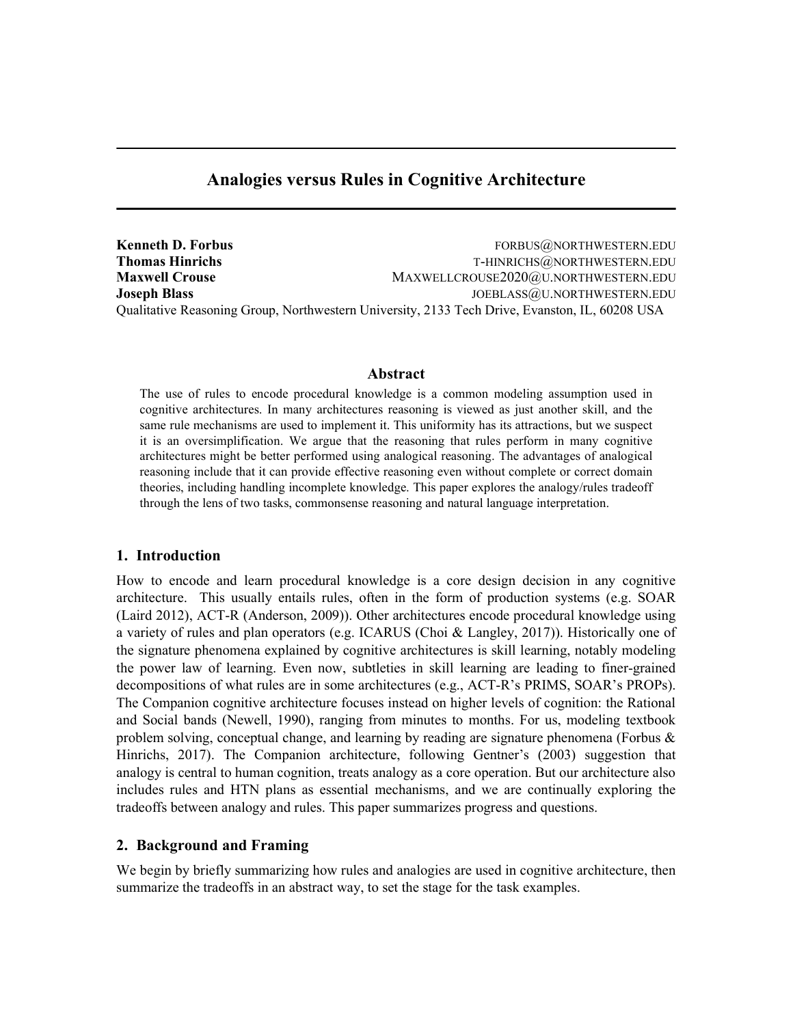# Analogies versus Rules in Cognitive Architecture

Kenneth D. Forbus Forbus Forbus Forbus Forbus Forbus Forbus Forbus Forbus Forbus Forbus Forbus Forbus Forbus Forbus Forbus Forbus Forbus Forbus Forbus Forbus Forbus Forbus Forbus Forbus Forbus Forbus Forbus Forbus Forbus F Thomas Hinrichs Thomas Hinrichs Text T-HINRICHS@NORTHWESTERN.EDU Maxwell Crouse MAXWELLCROUSE2020@U.NORTHWESTERN.EDU Joseph Blass JOEBLASS@U.NORTHWESTERN.EDU Qualitative Reasoning Group, Northwestern University, 2133 Tech Drive, Evanston, IL, 60208 USA

## Abstract

The use of rules to encode procedural knowledge is a common modeling assumption used in cognitive architectures. In many architectures reasoning is viewed as just another skill, and the same rule mechanisms are used to implement it. This uniformity has its attractions, but we suspect it is an oversimplification. We argue that the reasoning that rules perform in many cognitive architectures might be better performed using analogical reasoning. The advantages of analogical reasoning include that it can provide effective reasoning even without complete or correct domain theories, including handling incomplete knowledge. This paper explores the analogy/rules tradeoff through the lens of two tasks, commonsense reasoning and natural language interpretation.

# 1. Introduction

How to encode and learn procedural knowledge is a core design decision in any cognitive architecture. This usually entails rules, often in the form of production systems (e.g. SOAR (Laird 2012), ACT-R (Anderson, 2009)). Other architectures encode procedural knowledge using a variety of rules and plan operators (e.g. ICARUS (Choi & Langley, 2017)). Historically one of the signature phenomena explained by cognitive architectures is skill learning, notably modeling the power law of learning. Even now, subtleties in skill learning are leading to finer-grained decompositions of what rules are in some architectures (e.g., ACT-R's PRIMS, SOAR's PROPs). The Companion cognitive architecture focuses instead on higher levels of cognition: the Rational and Social bands (Newell, 1990), ranging from minutes to months. For us, modeling textbook problem solving, conceptual change, and learning by reading are signature phenomena (Forbus  $\&$ Hinrichs, 2017). The Companion architecture, following Gentner's (2003) suggestion that analogy is central to human cognition, treats analogy as a core operation. But our architecture also includes rules and HTN plans as essential mechanisms, and we are continually exploring the tradeoffs between analogy and rules. This paper summarizes progress and questions.

## 2. Background and Framing

We begin by briefly summarizing how rules and analogies are used in cognitive architecture, then summarize the tradeoffs in an abstract way, to set the stage for the task examples.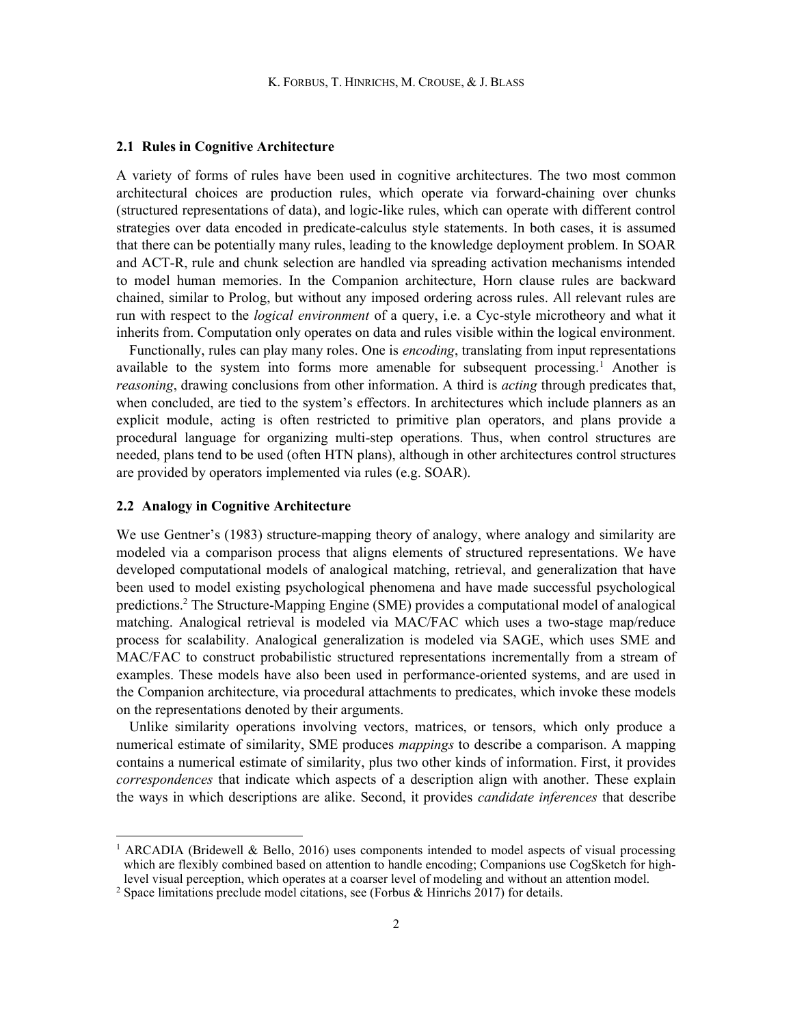#### 2.1 Rules in Cognitive Architecture

A variety of forms of rules have been used in cognitive architectures. The two most common architectural choices are production rules, which operate via forward-chaining over chunks (structured representations of data), and logic-like rules, which can operate with different control strategies over data encoded in predicate-calculus style statements. In both cases, it is assumed that there can be potentially many rules, leading to the knowledge deployment problem. In SOAR and ACT-R, rule and chunk selection are handled via spreading activation mechanisms intended to model human memories. In the Companion architecture, Horn clause rules are backward chained, similar to Prolog, but without any imposed ordering across rules. All relevant rules are run with respect to the *logical environment* of a query, i.e. a Cyc-style microtheory and what it inherits from. Computation only operates on data and rules visible within the logical environment.

 Functionally, rules can play many roles. One is encoding, translating from input representations available to the system into forms more amenable for subsequent processing.<sup>1</sup> Another is reasoning, drawing conclusions from other information. A third is *acting* through predicates that, when concluded, are tied to the system's effectors. In architectures which include planners as an explicit module, acting is often restricted to primitive plan operators, and plans provide a procedural language for organizing multi-step operations. Thus, when control structures are needed, plans tend to be used (often HTN plans), although in other architectures control structures are provided by operators implemented via rules (e.g. SOAR).

### 2.2 Analogy in Cognitive Architecture

We use Gentner's (1983) structure-mapping theory of analogy, where analogy and similarity are modeled via a comparison process that aligns elements of structured representations. We have developed computational models of analogical matching, retrieval, and generalization that have been used to model existing psychological phenomena and have made successful psychological predictions.<sup>2</sup> The Structure-Mapping Engine (SME) provides a computational model of analogical matching. Analogical retrieval is modeled via MAC/FAC which uses a two-stage map/reduce process for scalability. Analogical generalization is modeled via SAGE, which uses SME and MAC/FAC to construct probabilistic structured representations incrementally from a stream of examples. These models have also been used in performance-oriented systems, and are used in the Companion architecture, via procedural attachments to predicates, which invoke these models on the representations denoted by their arguments.

 Unlike similarity operations involving vectors, matrices, or tensors, which only produce a numerical estimate of similarity, SME produces *mappings* to describe a comparison. A mapping contains a numerical estimate of similarity, plus two other kinds of information. First, it provides correspondences that indicate which aspects of a description align with another. These explain the ways in which descriptions are alike. Second, it provides *candidate inferences* that describe

<sup>&</sup>lt;sup>1</sup> ARCADIA (Bridewell & Bello, 2016) uses components intended to model aspects of visual processing which are flexibly combined based on attention to handle encoding; Companions use CogSketch for highlevel visual perception, which operates at a coarser level of modeling and without an attention model.

<sup>&</sup>lt;sup>2</sup> Space limitations preclude model citations, see (Forbus & Hinrichs 2017) for details.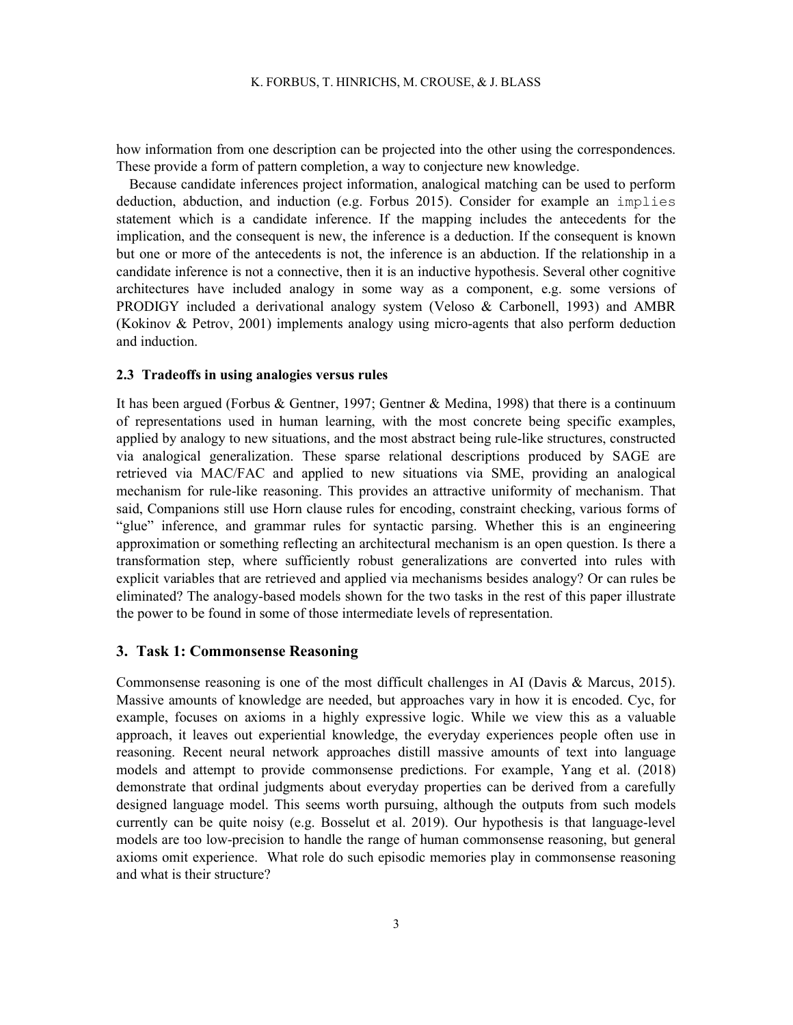how information from one description can be projected into the other using the correspondences. These provide a form of pattern completion, a way to conjecture new knowledge.

 Because candidate inferences project information, analogical matching can be used to perform deduction, abduction, and induction (e.g. Forbus 2015). Consider for example an implies statement which is a candidate inference. If the mapping includes the antecedents for the implication, and the consequent is new, the inference is a deduction. If the consequent is known but one or more of the antecedents is not, the inference is an abduction. If the relationship in a candidate inference is not a connective, then it is an inductive hypothesis. Several other cognitive architectures have included analogy in some way as a component, e.g. some versions of PRODIGY included a derivational analogy system (Veloso & Carbonell, 1993) and AMBR (Kokinov & Petrov, 2001) implements analogy using micro-agents that also perform deduction and induction.

#### 2.3 Tradeoffs in using analogies versus rules

It has been argued (Forbus & Gentner, 1997; Gentner & Medina, 1998) that there is a continuum of representations used in human learning, with the most concrete being specific examples, applied by analogy to new situations, and the most abstract being rule-like structures, constructed via analogical generalization. These sparse relational descriptions produced by SAGE are retrieved via MAC/FAC and applied to new situations via SME, providing an analogical mechanism for rule-like reasoning. This provides an attractive uniformity of mechanism. That said, Companions still use Horn clause rules for encoding, constraint checking, various forms of "glue" inference, and grammar rules for syntactic parsing. Whether this is an engineering approximation or something reflecting an architectural mechanism is an open question. Is there a transformation step, where sufficiently robust generalizations are converted into rules with explicit variables that are retrieved and applied via mechanisms besides analogy? Or can rules be eliminated? The analogy-based models shown for the two tasks in the rest of this paper illustrate the power to be found in some of those intermediate levels of representation.

### 3. Task 1: Commonsense Reasoning

Commonsense reasoning is one of the most difficult challenges in AI (Davis & Marcus, 2015). Massive amounts of knowledge are needed, but approaches vary in how it is encoded. Cyc, for example, focuses on axioms in a highly expressive logic. While we view this as a valuable approach, it leaves out experiential knowledge, the everyday experiences people often use in reasoning. Recent neural network approaches distill massive amounts of text into language models and attempt to provide commonsense predictions. For example, Yang et al. (2018) demonstrate that ordinal judgments about everyday properties can be derived from a carefully designed language model. This seems worth pursuing, although the outputs from such models currently can be quite noisy (e.g. Bosselut et al. 2019). Our hypothesis is that language-level models are too low-precision to handle the range of human commonsense reasoning, but general axioms omit experience. What role do such episodic memories play in commonsense reasoning and what is their structure?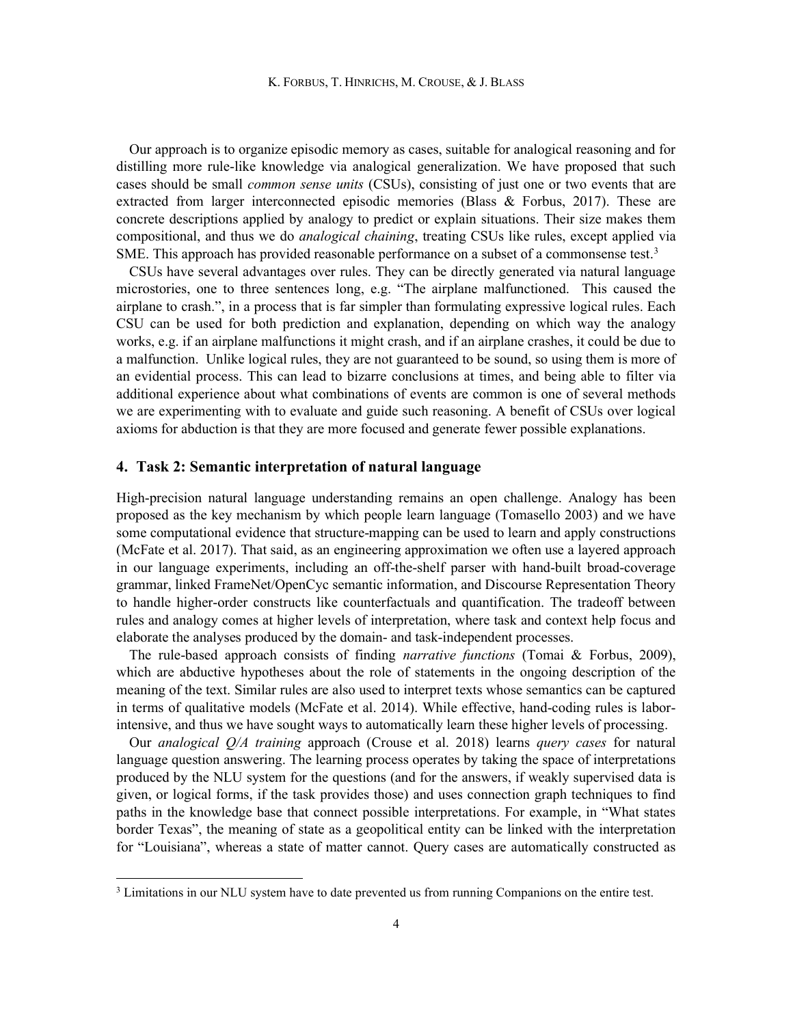Our approach is to organize episodic memory as cases, suitable for analogical reasoning and for distilling more rule-like knowledge via analogical generalization. We have proposed that such cases should be small common sense units (CSUs), consisting of just one or two events that are extracted from larger interconnected episodic memories (Blass & Forbus, 2017). These are concrete descriptions applied by analogy to predict or explain situations. Their size makes them compositional, and thus we do analogical chaining, treating CSUs like rules, except applied via SME. This approach has provided reasonable performance on a subset of a commonsense test.<sup>3</sup>

 CSUs have several advantages over rules. They can be directly generated via natural language microstories, one to three sentences long, e.g. "The airplane malfunctioned. This caused the airplane to crash.", in a process that is far simpler than formulating expressive logical rules. Each CSU can be used for both prediction and explanation, depending on which way the analogy works, e.g. if an airplane malfunctions it might crash, and if an airplane crashes, it could be due to a malfunction. Unlike logical rules, they are not guaranteed to be sound, so using them is more of an evidential process. This can lead to bizarre conclusions at times, and being able to filter via additional experience about what combinations of events are common is one of several methods we are experimenting with to evaluate and guide such reasoning. A benefit of CSUs over logical axioms for abduction is that they are more focused and generate fewer possible explanations.

# 4. Task 2: Semantic interpretation of natural language

High-precision natural language understanding remains an open challenge. Analogy has been proposed as the key mechanism by which people learn language (Tomasello 2003) and we have some computational evidence that structure-mapping can be used to learn and apply constructions (McFate et al. 2017). That said, as an engineering approximation we often use a layered approach in our language experiments, including an off-the-shelf parser with hand-built broad-coverage grammar, linked FrameNet/OpenCyc semantic information, and Discourse Representation Theory to handle higher-order constructs like counterfactuals and quantification. The tradeoff between rules and analogy comes at higher levels of interpretation, where task and context help focus and elaborate the analyses produced by the domain- and task-independent processes.

 The rule-based approach consists of finding narrative functions (Tomai & Forbus, 2009), which are abductive hypotheses about the role of statements in the ongoing description of the meaning of the text. Similar rules are also used to interpret texts whose semantics can be captured in terms of qualitative models (McFate et al. 2014). While effective, hand-coding rules is laborintensive, and thus we have sought ways to automatically learn these higher levels of processing.

Our analogical  $O/A$  training approach (Crouse et al. 2018) learns *query cases* for natural language question answering. The learning process operates by taking the space of interpretations produced by the NLU system for the questions (and for the answers, if weakly supervised data is given, or logical forms, if the task provides those) and uses connection graph techniques to find paths in the knowledge base that connect possible interpretations. For example, in "What states border Texas", the meaning of state as a geopolitical entity can be linked with the interpretation for "Louisiana", whereas a state of matter cannot. Query cases are automatically constructed as

<sup>&</sup>lt;sup>3</sup> Limitations in our NLU system have to date prevented us from running Companions on the entire test.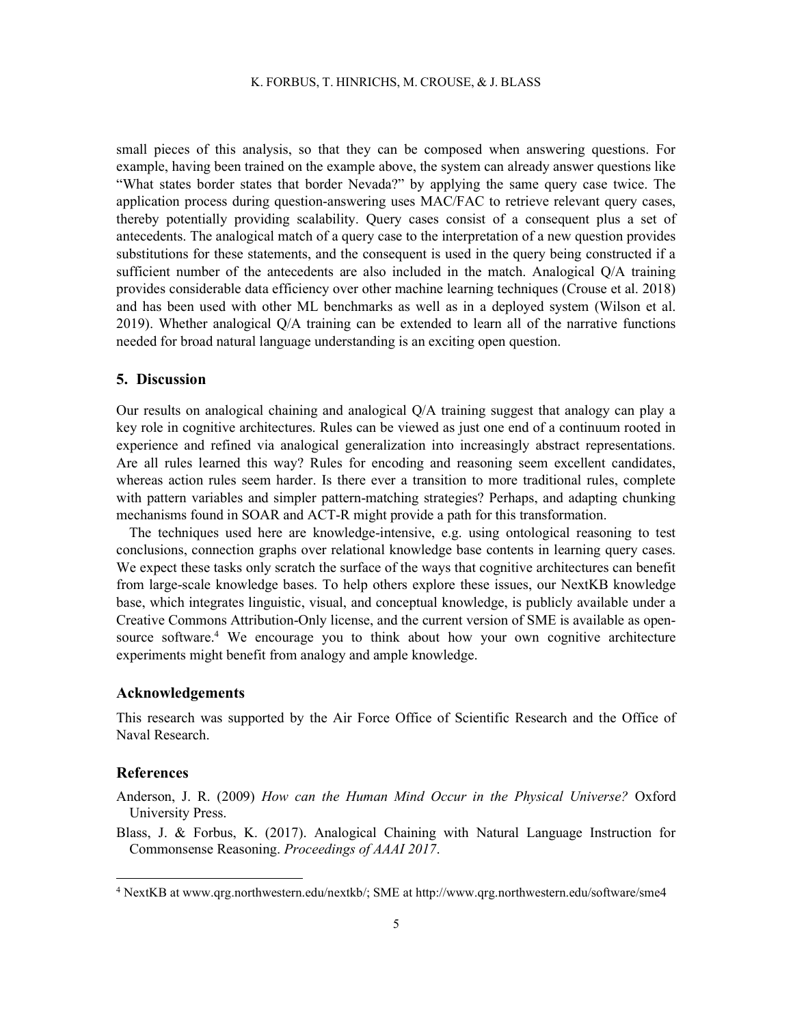#### K. FORBUS, T. HINRICHS, M. CROUSE, & J. BLASS

small pieces of this analysis, so that they can be composed when answering questions. For example, having been trained on the example above, the system can already answer questions like "What states border states that border Nevada?" by applying the same query case twice. The application process during question-answering uses MAC/FAC to retrieve relevant query cases, thereby potentially providing scalability. Query cases consist of a consequent plus a set of antecedents. The analogical match of a query case to the interpretation of a new question provides substitutions for these statements, and the consequent is used in the query being constructed if a sufficient number of the antecedents are also included in the match. Analogical Q/A training provides considerable data efficiency over other machine learning techniques (Crouse et al. 2018) and has been used with other ML benchmarks as well as in a deployed system (Wilson et al. 2019). Whether analogical Q/A training can be extended to learn all of the narrative functions needed for broad natural language understanding is an exciting open question.

## 5. Discussion

Our results on analogical chaining and analogical Q/A training suggest that analogy can play a key role in cognitive architectures. Rules can be viewed as just one end of a continuum rooted in experience and refined via analogical generalization into increasingly abstract representations. Are all rules learned this way? Rules for encoding and reasoning seem excellent candidates, whereas action rules seem harder. Is there ever a transition to more traditional rules, complete with pattern variables and simpler pattern-matching strategies? Perhaps, and adapting chunking mechanisms found in SOAR and ACT-R might provide a path for this transformation.

 The techniques used here are knowledge-intensive, e.g. using ontological reasoning to test conclusions, connection graphs over relational knowledge base contents in learning query cases. We expect these tasks only scratch the surface of the ways that cognitive architectures can benefit from large-scale knowledge bases. To help others explore these issues, our NextKB knowledge base, which integrates linguistic, visual, and conceptual knowledge, is publicly available under a Creative Commons Attribution-Only license, and the current version of SME is available as opensource software.<sup>4</sup> We encourage you to think about how your own cognitive architecture experiments might benefit from analogy and ample knowledge.

## Acknowledgements

This research was supported by the Air Force Office of Scientific Research and the Office of Naval Research.

## References

Anderson, J. R. (2009) How can the Human Mind Occur in the Physical Universe? Oxford University Press.

Blass, J. & Forbus, K. (2017). Analogical Chaining with Natural Language Instruction for Commonsense Reasoning. Proceedings of AAAI 2017.

<sup>4</sup> NextKB at www.qrg.northwestern.edu/nextkb/; SME at http://www.qrg.northwestern.edu/software/sme4